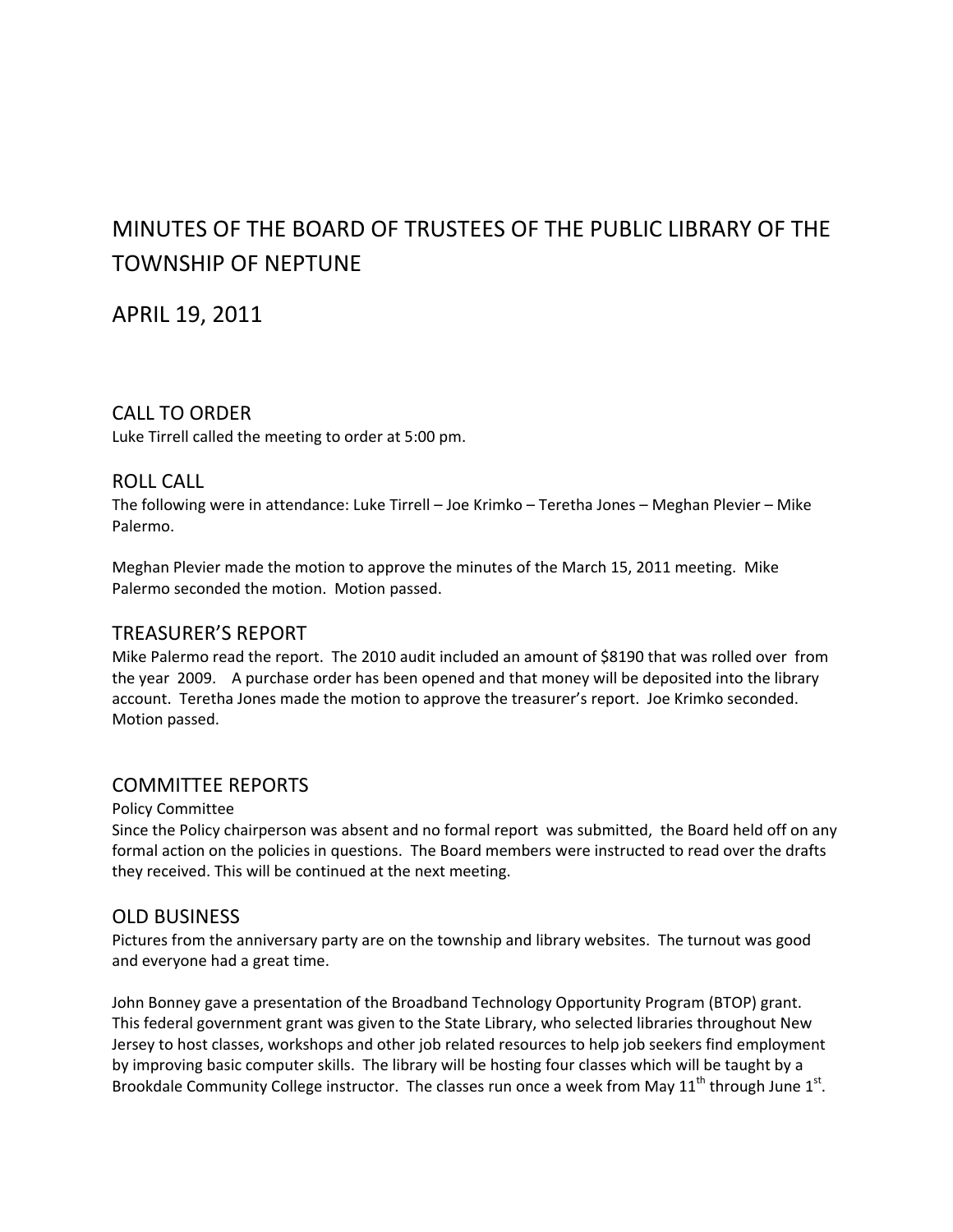# MINUTES OF THE BOARD OF TRUSTEES OF THE PUBLIC LIBRARY OF THE TOWNSHIP OF NEPTUNE

APRIL 19, 2011

# CALL TO ORDER

Luke Tirrell called the meeting to order at 5:00 pm.

### ROLL CALL

The following were in attendance: Luke Tirrell – Joe Krimko – Teretha Jones – Meghan Plevier – Mike Palermo.

Meghan Plevier made the motion to approve the minutes of the March 15, 2011 meeting. Mike Palermo seconded the motion. Motion passed.

# TREASURER'S REPORT

Mike Palermo read the report. The 2010 audit included an amount of \$8190 that was rolled over from the year 2009. A purchase order has been opened and that money will be deposited into the library account. Teretha Jones made the motion to approve the treasurer's report. Joe Krimko seconded. Motion passed.

# COMMITTEE REPORTS

#### Policy Committee

Since the Policy chairperson was absent and no formal report was submitted, the Board held off on any formal action on the policies in questions. The Board members were instructed to read over the drafts they received. This will be continued at the next meeting.

# OLD BUSINESS

Pictures from the anniversary party are on the township and library websites. The turnout was good and everyone had a great time.

John Bonney gave a presentation of the Broadband Technology Opportunity Program (BTOP) grant. This federal government grant was given to the State Library, who selected libraries throughout New Jersey to host classes, workshops and other job related resources to help job seekers find employment by improving basic computer skills. The library will be hosting four classes which will be taught by a Brookdale Community College instructor. The classes run once a week from May  $11<sup>th</sup>$  through June  $1<sup>st</sup>$ .